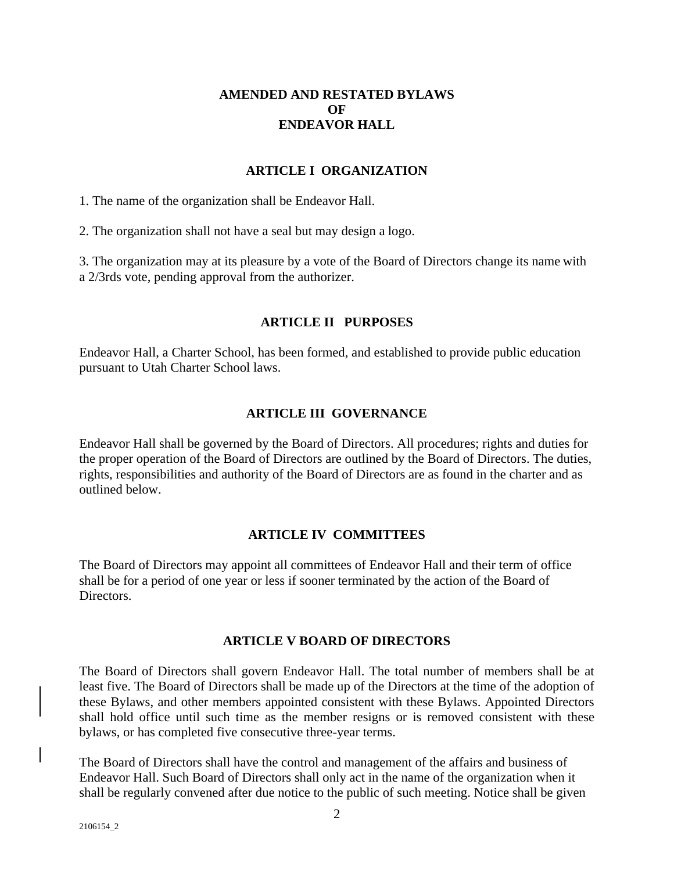# **AMENDED AND RESTATED BYLAWS OF ENDEAVOR HALL**

### **ARTICLE I ORGANIZATION**

1. The name of the organization shall be Endeavor Hall.

2. The organization shall not have a seal but may design a logo.

3. The organization may at its pleasure by a vote of the Board of Directors change its name with a 2/3rds vote, pending approval from the authorizer.

### **ARTICLE II PURPOSES**

Endeavor Hall, a Charter School, has been formed, and established to provide public education pursuant to Utah Charter School laws.

### **ARTICLE III GOVERNANCE**

Endeavor Hall shall be governed by the Board of Directors. All procedures; rights and duties for the proper operation of the Board of Directors are outlined by the Board of Directors. The duties, rights, responsibilities and authority of the Board of Directors are as found in the charter and as outlined below.

# **ARTICLE IV COMMITTEES**

The Board of Directors may appoint all committees of Endeavor Hall and their term of office shall be for a period of one year or less if sooner terminated by the action of the Board of Directors.

# **ARTICLE V BOARD OF DIRECTORS**

The Board of Directors shall govern Endeavor Hall. The total number of members shall be at least five. The Board of Directors shall be made up of the Directors at the time of the adoption of these Bylaws, and other members appointed consistent with these Bylaws. Appointed Directors shall hold office until such time as the member resigns or is removed consistent with these bylaws, or has completed five consecutive three-year terms.

The Board of Directors shall have the control and management of the affairs and business of Endeavor Hall. Such Board of Directors shall only act in the name of the organization when it shall be regularly convened after due notice to the public of such meeting. Notice shall be given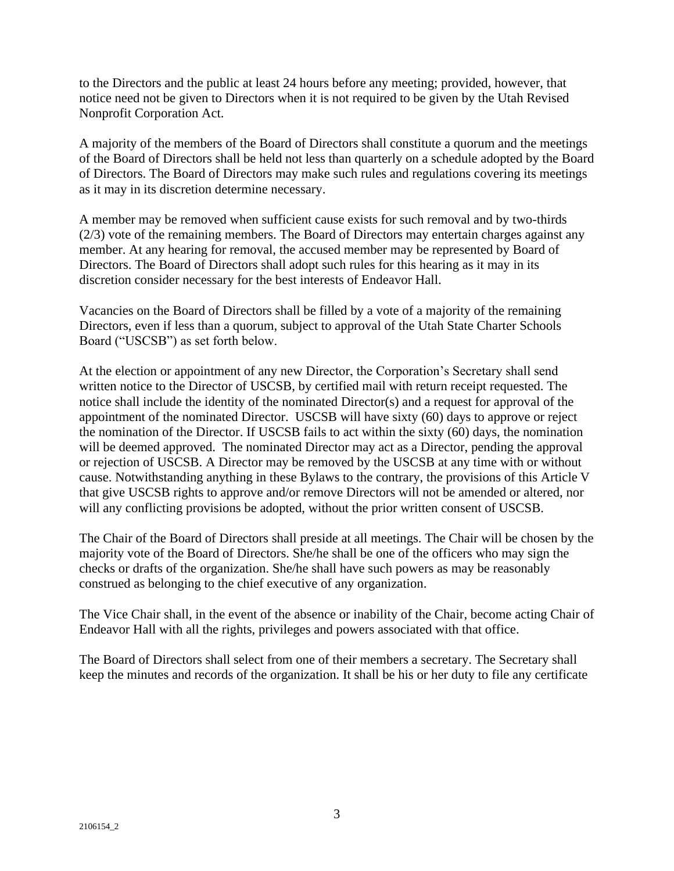to the Directors and the public at least 24 hours before any meeting; provided, however, that notice need not be given to Directors when it is not required to be given by the Utah Revised Nonprofit Corporation Act.

A majority of the members of the Board of Directors shall constitute a quorum and the meetings of the Board of Directors shall be held not less than quarterly on a schedule adopted by the Board of Directors. The Board of Directors may make such rules and regulations covering its meetings as it may in its discretion determine necessary.

A member may be removed when sufficient cause exists for such removal and by two-thirds (2/3) vote of the remaining members. The Board of Directors may entertain charges against any member. At any hearing for removal, the accused member may be represented by Board of Directors. The Board of Directors shall adopt such rules for this hearing as it may in its discretion consider necessary for the best interests of Endeavor Hall.

Vacancies on the Board of Directors shall be filled by a vote of a majority of the remaining Directors, even if less than a quorum, subject to approval of the Utah State Charter Schools Board ("USCSB") as set forth below.

At the election or appointment of any new Director, the Corporation's Secretary shall send written notice to the Director of USCSB, by certified mail with return receipt requested. The notice shall include the identity of the nominated Director(s) and a request for approval of the appointment of the nominated Director. USCSB will have sixty (60) days to approve or reject the nomination of the Director. If USCSB fails to act within the sixty (60) days, the nomination will be deemed approved. The nominated Director may act as a Director, pending the approval or rejection of USCSB. A Director may be removed by the USCSB at any time with or without cause. Notwithstanding anything in these Bylaws to the contrary, the provisions of this Article V that give USCSB rights to approve and/or remove Directors will not be amended or altered, nor will any conflicting provisions be adopted, without the prior written consent of USCSB.

The Chair of the Board of Directors shall preside at all meetings. The Chair will be chosen by the majority vote of the Board of Directors. She/he shall be one of the officers who may sign the checks or drafts of the organization. She/he shall have such powers as may be reasonably construed as belonging to the chief executive of any organization.

The Vice Chair shall, in the event of the absence or inability of the Chair, become acting Chair of Endeavor Hall with all the rights, privileges and powers associated with that office.

The Board of Directors shall select from one of their members a secretary. The Secretary shall keep the minutes and records of the organization. It shall be his or her duty to file any certificate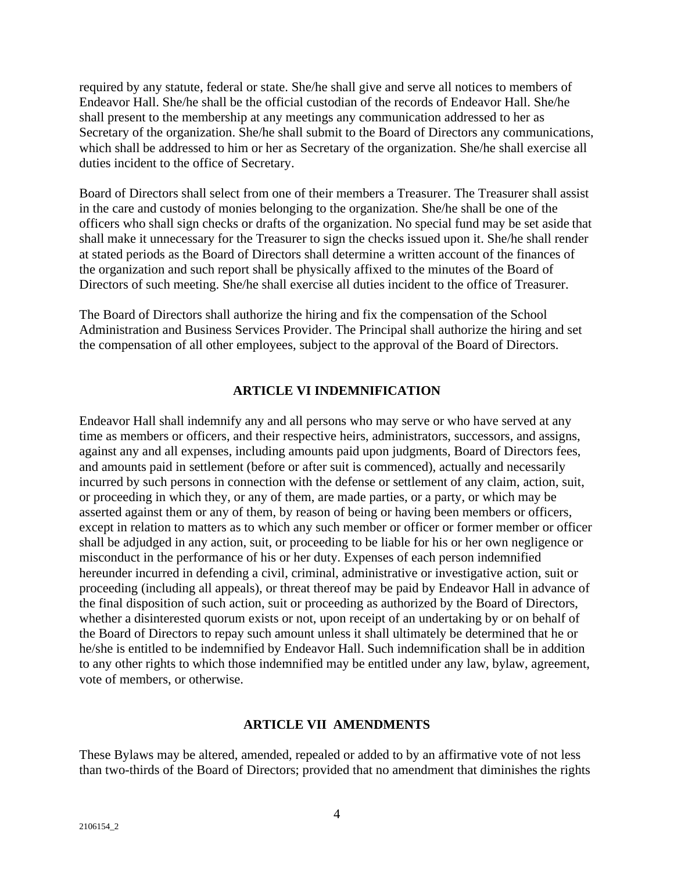required by any statute, federal or state. She/he shall give and serve all notices to members of Endeavor Hall. She/he shall be the official custodian of the records of Endeavor Hall. She/he shall present to the membership at any meetings any communication addressed to her as Secretary of the organization. She/he shall submit to the Board of Directors any communications, which shall be addressed to him or her as Secretary of the organization. She/he shall exercise all duties incident to the office of Secretary.

Board of Directors shall select from one of their members a Treasurer. The Treasurer shall assist in the care and custody of monies belonging to the organization. She/he shall be one of the officers who shall sign checks or drafts of the organization. No special fund may be set aside that shall make it unnecessary for the Treasurer to sign the checks issued upon it. She/he shall render at stated periods as the Board of Directors shall determine a written account of the finances of the organization and such report shall be physically affixed to the minutes of the Board of Directors of such meeting. She/he shall exercise all duties incident to the office of Treasurer.

The Board of Directors shall authorize the hiring and fix the compensation of the School Administration and Business Services Provider. The Principal shall authorize the hiring and set the compensation of all other employees, subject to the approval of the Board of Directors.

### **ARTICLE VI INDEMNIFICATION**

Endeavor Hall shall indemnify any and all persons who may serve or who have served at any time as members or officers, and their respective heirs, administrators, successors, and assigns, against any and all expenses, including amounts paid upon judgments, Board of Directors fees, and amounts paid in settlement (before or after suit is commenced), actually and necessarily incurred by such persons in connection with the defense or settlement of any claim, action, suit, or proceeding in which they, or any of them, are made parties, or a party, or which may be asserted against them or any of them, by reason of being or having been members or officers, except in relation to matters as to which any such member or officer or former member or officer shall be adjudged in any action, suit, or proceeding to be liable for his or her own negligence or misconduct in the performance of his or her duty. Expenses of each person indemnified hereunder incurred in defending a civil, criminal, administrative or investigative action, suit or proceeding (including all appeals), or threat thereof may be paid by Endeavor Hall in advance of the final disposition of such action, suit or proceeding as authorized by the Board of Directors, whether a disinterested quorum exists or not, upon receipt of an undertaking by or on behalf of the Board of Directors to repay such amount unless it shall ultimately be determined that he or he/she is entitled to be indemnified by Endeavor Hall. Such indemnification shall be in addition to any other rights to which those indemnified may be entitled under any law, bylaw, agreement, vote of members, or otherwise.

### **ARTICLE VII AMENDMENTS**

These Bylaws may be altered, amended, repealed or added to by an affirmative vote of not less than two-thirds of the Board of Directors; provided that no amendment that diminishes the rights